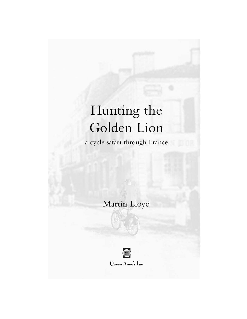# Hunting the Golden Lion

a cycle safari through France

Martin Lloyd



Queen Anne's Fan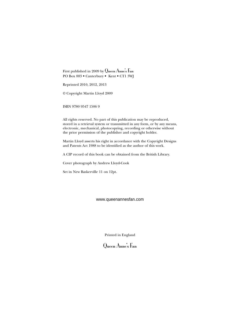First published in 2009 by Queen Anne's Fan PO Box 883 • Canterbury • Kent • CT1 3WJ

Reprinted 2010, 2012, 2013

© Copyright Martin Lloyd 2009

ISBN 9780 9547 1506 9

All rights reserved. No part of this publication may be reproduced, stored in a retrieval system or transmitted in any form, or by any means, electronic, mechanical, photocopying, recording or otherwise without the prior permission of the publisher and copyright holder.

Martin Lloyd asserts his right in accordance with the Copyright Designs and Patents Act 1988 to be identified as the author of this work.

A CIP record of this book can be obtained from the British Library.

Cover photograph by Andrew Lloyd-Cook

Set in New Baskerville 11 on 12pt.

www.queenannesfan.com

Printed in England

Queen Anne's Fan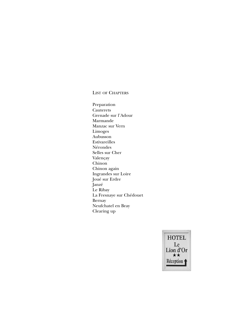LIST OF CHAPTERS

Preparation **Cauterets** Grenade sur l'Adour Marmande Manzac sur Vern Limoges Aubusson Estivareilles Nérondes Selles sur Cher Valençay Chinon Chinon again Ingrandes sur Loire Joué sur Erdre Janzé Le Ribay La Fresnaye sur Chédouet Bernay Neufchatel en Bray Clearing up

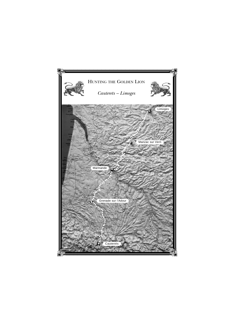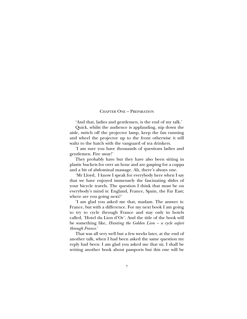## CHAPTER ONE – PREPARATION

'And that, ladies and gentlemen, is the end of my talk.'

Quick, whilst the audience is applauding, nip down the aisle, switch off the projector lamp, keep the fan running and wheel the projector up to the front otherwise it will waltz to the hatch with the vanguard of tea drinkers.

'I am sure you have thousands of questions ladies and gentlemen. Fire away!'

They probably have but they have also been sitting in plastic buckets for over an hour and are gasping for a cuppa and a bit of abdominal massage. Ah, there's always one.

'Mr Lloyd, I know I speak for everybody here when I say that we have enjoyed immensely the fascinating slides of your bicycle travels. The question I think that must be on everybody's mind is: England, France, Spain, the Far East; where are you going next?'

'I am glad you asked me that, madam. The answer is: France, but with a difference. For my next book I am going to try to cycle through France and stay only in hotels called, 'Hotel du Lion d'Or'. And the title of the book will be something like, *Hunting the Golden Lion – a cycle safari through France*.'

That was all very well but a few weeks later, at the end of another talk, when I had been asked the same question my reply had been: I am glad you asked me that sir, I shall be writing another book about passports but this one will be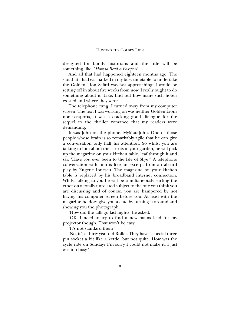designed for family historians and the title will be something like, '*How to Read a Passport*'.

And all that had happened eighteen months ago. The slot that I had earmarked in my busy timetable to undertake the Golden Lion Safari was fast approaching. I would be setting off in about five weeks from now. I really ought to do something about it. Like, find out how many such hotels existed and where they were.

The telephone rang. I turned away from my computer screen. The text I was working on was neither Golden Lions nor passports, it was a cracking good dialogue for the sequel to the thriller romance that my readers were demanding.

It was John on the phone. MyMateJohn. One of those people whose brain is so remarkably agile that he can give a conversation only half his attention. So whilst you are talking to him about the carrots in your garden, he will pick up the magazine on your kitchen table, leaf through it and say, 'Have you ever been to the Isle of Skye?' A telephone conversation with him is like an excerpt from an absurd play by Eugene Ionescu. The magazine on your kitchen table is replaced by his broadband internet connection. Whilst talking to you he will be simultaneously surfing the ether on a totally unrelated subject to the one you think you are discussing and of course, you are hampered by not having his computer screen before you. At least with the magazine he does give you a clue by turning it around and showing you the photograph.

'How did the talk go last night?' he asked.

'OK. I need to try to find a new mains lead for my projector though. That won't be easy.'

'It's not standard then?'

'No, it's a thirty year old Rollei. They have a special three pin socket a bit like a kettle, but not quite. How was the cycle ride on Sunday? I'm sorry I could not make it, I just was too busy.'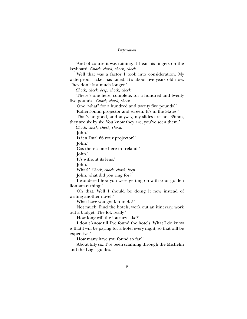'And of course it was raining.' I hear his fingers on the keyboard. *Chock, chock, chock, chock.*

'Well that was a factor I took into consideration. My waterproof jacket has failed. It's about five years old now. They don't last much longer.'

*Chock, chock, beep, chock, chock.*

'There's one here, complete, for a hundred and twenty five pounds.' *Chock, chock, chock.*

'One "what" for a hundred and twenty five pounds?'

'Rollei 35mm projector and screen. It's in the States.'

'That's no good, and anyway, my slides are not 35mm, they are six by six. You know they are, you've seen them.'

*Chock, chock, chock, chock.*

'John.'

'Is it a Dual 66 your projector?'

'John.'

'Cos there's one here in Ireland.'

'John.'

'It's without its lens.'

'John.'

'What?' *Chock, chock, chock, beep.* 

'John, what did you ring for?'

'I wondered how you were getting on with your golden lion safari thing.'

'Oh that. Well I should be doing it now instead of writing another novel.'

'What have you got left to do?'

'Not much. Find the hotels, work out an itinerary, work out a budget. The lot, really.'

'How long will the journey take?'

'I don't know till I've found the hotels. What I do know is that I will be paying for a hotel every night, so that will be expensive.'

'How many have you found so far?'

'About fifty six. I've been scanning through the Michelin and the Logis guides.'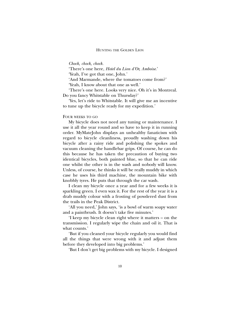*Chock, chock, chock.*

'There's one here, *Hotel du Lion d'Or, Amboise*.' 'Yeah, I've got that one, John.'

'And Marmande, where the tomatoes come from?'

'Yeah, I know about that one as well.'

'There's one here. Looks very nice. Oh it's in Montreal. Do you fancy Whitstable on Thursday?'

'Yes, let's ride to Whitstable. It will give me an incentive to tune up the bicycle ready for my expedition.'

#### FOUR WEEKS TO GO

My bicycle does not need any tuning or maintenance. I use it all the year round and so have to keep it in running order. MyMateJohn displays an unhealthy fanaticism with regard to bicycle cleanliness, proudly washing down his bicycle after a rainy ride and polishing the spokes and vacuum cleaning the handlebar grips. Of course, he can do this because he has taken the precaution of buying two identical bicycles, both painted blue, so that he can ride one whilst the other is in the wash and nobody will know. Unless, of course, he thinks it will be really muddy in which case he uses his third machine, the mountain bike with knobbly tyres. He puts that through the car wash.

I clean my bicycle once a year and for a few weeks it is sparkling green. I even wax it. For the rest of the year it is a drab muddy colour with a frosting of powdered dust from the trails in the Peak District.

'All you need,' John says, 'is a bowl of warm soapy water and a paintbrush. It doesn't take five minutes.'

'I keep my bicycle clean right where it matters – on the transmission. I regularly wipe the chain and oil it. That is what counts.'

'But if you cleaned your bicycle regularly you would find all the things that were wrong with it and adjust them before they developed into big problems.'

'But I don't get big problems with my bicycle. I designed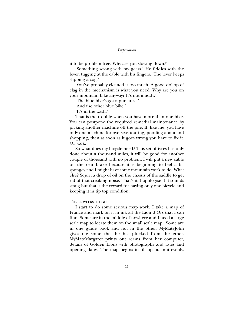it to be problem free. Why are you slowing down?'

'Something wrong with my gears.' He fiddles with the lever, tugging at the cable with his fingers. 'The lever keeps slipping a cog.'

'You've probably cleaned it too much. A good dollop of clag in the mechanism is what you need. Why are you on your mountain bike anyway? It's not muddy.'

'The blue bike's got a puncture.'

'And the other blue bike.'

'It's in the wash.'

That is the trouble when you have more than one bike. You can postpone the required remedial maintenance by picking another machine off the pile. If, like me, you have only one machine for overseas touring, pootling about and shopping, then as soon as it goes wrong you have to fix it. Or walk.

So what does my bicycle need? This set of tyres has only done about a thousand miles, it will be good for another couple of thousand with no problem. I will put a new cable on the rear brake because it is beginning to feel a bit spongey and I might have some mountain work to do. What else? Squirt a drop of oil on the chassis of the saddle to get rid of that creaking noise. That's it. I apologise if it sounds smug but that is the reward for having only one bicycle and keeping it in tip top condition.

# THREE WEEKS TO GO

I start to do some serious map work. I take a map of France and mark on it in ink all the Lion d'Ors that I can find. Some are in the middle of nowhere and I need a large scale map to locate them on the small scale map. Some are in one guide book and not in the other. MyMateJohn gives me some that he has plucked from the ether. MyMateMargaret prints out reams from her computer, details of Golden Lions with photographs and rates and opening dates. The map begins to fill up but not evenly.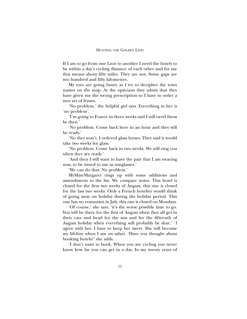If I am to go from one Lion to another I need the hotels to be within a day's cycling distance of each other and for me that means about fifty miles. They are not. Some gaps are two hundred and fifty kilometres.

My eyes are going funny as I try to decipher the town names on the map. At the opticians they admit that they have given me the wrong prescription so I have to order a new set of lenses.

'No problem,' the helpful girl says. Everything to her is 'no problem'.

'I'm going to France in three weeks and I will need them by then.'

'No problem. Come back here in an hour and they will be ready,'

'No they won't. I ordered glass lenses. They said it would take two weeks for glass.'

'No problem. Come back in two weeks. We will ring you when they are ready.'

'And then I will want to have the pair that I am wearing now, to be tinted to use as sunglasses.'

'We can do that. No problem.'

MyMateMargaret rings up with some additions and amendments to the list. We compare notes. This hotel is closed for the first two weeks of August, this one is closed for the last two weeks. Only a French hotelier would think of going away on holiday during the holiday period. This one has no restaurant in July, this one is closed on Mondays.

'Of course,' she says, 'it's the worse possible time to go. You will be there for the first of August when they all get in their cars and head for the sun and for the fifteenth of August holiday when everything will probably be shut.' I agree with her. I have to keep her sweet. She will become my lifeline when I am on safari. 'Have you thought about booking hotels?' she adds.

'I don't want to book. When you are cycling you never know how far you can get in a day. In my twenty years of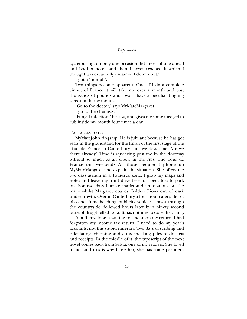cycletouring, on only one occasion did I ever phone ahead and book a hotel, and then I never reached it which I thought was dreadfully unfair so I don't do it.'

I got a 'humph'.

Two things become apparent. One, if I do a complete circuit of France it will take me over a month and cost thousands of pounds and, two, I have a peculiar tingling sensation in my mouth.

'Go to the doctor,' says MyMateMargaret.

I go to the chemists.

'Fungal infection,' he says, and gives me some nice gel to rub inside my mouth four times a day.

## TWO WEEKS TO GO

MyMateJohn rings up. He is jubilant because he has got seats in the grandstand for the finish of the first stage of the Tour de France in Canterbury... in five days time. Are we there already? Time is squeezing past me in the doorway without so much as an elbow in the ribs. The Tour de France this weekend? All those people? I phone up MyMateMargaret and explain the situation. She offers me two days asylum in a Tour-free zone. I grab my maps and notes and leave my front drive free for spectators to park on. For two days I make marks and annotations on the maps whilst Margaret coaxes Golden Lions out of dark undergrowth. Over in Canterbury a four hour caterpiller of obscene, fume-belching publicity vehicles crawls through the countryside, followed hours later by a ninety second burst of drug-fuelled lycra. It has nothing to do with cycling.

A buff envelope is waiting for me upon my return. I had forgotten my income tax return. I need to do my year's accounts, not this stupid itinerary. Two days of scribing and calculating, checking and cross checking piles of dockets and receipts. In the middle of it, the typescript of the next novel comes back from Sylvia, one of my readers. She loved it but, and this is why I use her, she has some pertinent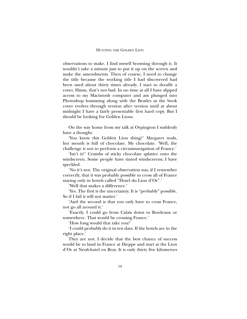observations to make. I find myself browsing through it. It wouldn't take a minute just to put it up on the screen and make the amendments. Then of course, I need to change the title because the working title I had discovered had been used about thirty times already. I start to doodle a cover. Hmm, that's not bad. In no time at all I have slipped across to my Macintosh computer and am plunged into Photoshop humming along with the Beatles as the book cover evolves through version after version until at about midnight I have a fairly presentable first hard copy. But I should be looking for Golden Lions.

On the way home from my talk at Orpington I suddenly have a thought.

'You know this Golden Lion thing?' Margaret nods, her mouth is full of chocolate. My chocolate. 'Well, the challenge is not to perform a circumnavigation of France.'

'Isn't it?' Crumbs of sticky chocolate splatter onto the windscreen. Some people have tinted windscreens; I have speckled.

'No it's not. The original observation was, if I remember correctly, that it was probably possible to cross all of France staying only in hotels called "Hotel du Lion d'Or".'

'Well that makes a difference.'

'Yes. The first is the uncertainty. It is "probably" possible. So if I fail it will not matter.'

'And the second is that you only have to cross France, not go all around it.'

'Exactly. I could go from Calais down to Bordeaux or somewhere. That would be crossing France.'

'How long would that take you?'

'I could probably do it in ten days. If the hotels are in the right place.'

They are not. I decide that the best chance of success would be to land in France at Dieppe and start at the Lion d'Or at Neufchatel en Bray. It is only thirty five kilometres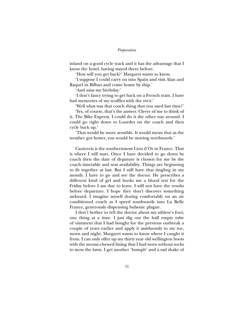inland on a good cycle track and it has the advantage that I know the hotel, having stayed there before.

'How will you get back?' Margaret wants to know.

'I suppose I could carry on into Spain and visit Alan and Raquel in Bilbao and come home by ship.'

'And miss my birthday.'

'I don't fancy trying to get back on a French train. I have bad memories of my scuffles with the SNCF.'

'Well what was that coach thing that you used last time?'

'Yes, of course, that's the answer. Clever of me to think of it. The Bike Express. I could do it the other way around. I could go right down to Lourdes on the coach and then cycle back up.'

'That would be more sensible. It would mean that as the weather got hotter, you would be moving northwards.'

Cauterets is the southernmost Lion d'Or in France. That is where I will start. Once I have decided to go down by coach then the date of depature is chosen for me by the coach timetable and seat availability. Things are beginning to fit together at last. But I still have that tingling in my mouth. I have to go and see the doctor. He prescribes a different kind of gel and books me a blood test for the Friday before I am due to leave. I will not have the results before departure. I hope they don't discover something awkward. I imagine myself dozing comfortably on an air conditioned coach as I speed southwards into La Belle France, generously dispensing bubonic plague.

I don't bother to tell the doctor about my athlete's foot; one thing at a time. I just dig out the half empty tube of ointment that I had bought for the previous outbreak a couple of years earlier and apply it assiduously to my toe, morn and night. Margaret wants to know where I caught it from. I can only offer up my thirty year old wellington boots with the mouse-chewed lining that I had worn without socks to mow the lawn. I get another 'humph' and a sad shake of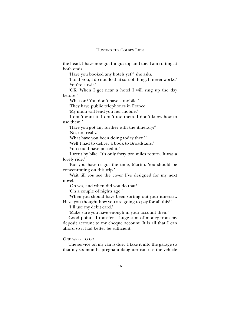the head. I have now got fungus top and toe. I am rotting at both ends.

'Have you booked any hotels yet?' she asks.

'I told you, I do not do that sort of thing. It never works.' 'You're a twit.'

'OK. When I get near a hotel I will ring up the day before.'

'What on? You don't have a mobile.'

'They have public telephones in France.'

'My mum will lend you her mobile.'

'I don't want it. I don't use them. I don't know how to use them.'

'Have you got any further with the itinerary?'

'No, not really.'

'What have you been doing today then?'

'Well I had to deliver a book to Broadstairs.'

'You could have posted it.'

'I went by bike. It's only forty two miles return. It was a lovely ride.'

'But you haven't got the time, Martin. You should be concentrating on this trip.'

'Wait till you see the cover I've designed for my next novel.'

'Oh yes, and when did you do that?'

'Oh a couple of nights ago.'

'When you should have been sorting out your itinerary. Have you thought how you are going to pay for all this?'

'I'll use my debit card.'

'Make sure you have enough in your account then.'

Good point. I transfer a huge sum of money from my deposit account to my cheque account. It is all that I can afford so it had better be sufficient.

ONE WEEK TO GO

The service on my van is due. I take it into the garage so that my six months pregnant daughter can use the vehicle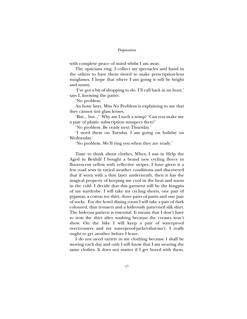with complete peace of mind whilst I am away.

The opticians ring. I collect my spectacles and hand in the others to have them tinted to make prescription-lens sunglasses. I hope that where I am going it will be bright and sunny.

'I've got a bit of shopping to do. I'll call back in an hour,' says I, knowing the patter.

'No problem.'

An hour later, Miss No Problem is explaining to me that they cannot tint glass lenses.

'But... but...' Why am I such a wimp? 'Can you make me a pair of plastic subscription sunspecs then?'

'No problem. Be ready next Thursday.'

'I need them on Tuesday. I am going on holiday on Wednesday.'

'No problem. We'll ring you when they are ready.'

Time to think about clothes. When I was in Help the Aged in Bexhill I bought a brand new cycling fleece in fluorescent yellow with reflective stripes. I have given it a few road tests in varied weather conditions and discovered that if worn with a thin layer underneath, then it has the magical property of keeping me cool in the heat and warm in the cold. I decide that this garment will be the kingpin of my wardrobe. I will take my cycling shorts, one pair of pyjamas, a cotton tee shirt, three pairs of pants and one pair of socks. For the hotel dining room I will take a pair of dark coloured, thin trousers and a hideously patterned silk shirt. The hideous pattern is essential. It means that I don't have to iron the shirt after washing because the creases won't show. On the bike I will keep a pair of waterproof overtrousers and my waterproof-jacket-that-isn't. I really ought to get another before I leave.

I do not need variety in my clothing because I shall be moving each day and only I will know that I am wearing the same clothes. It does not matter if I get bored with them.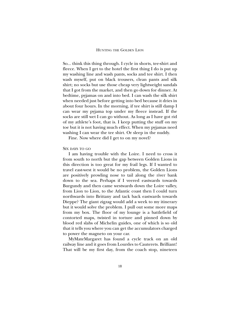So... think this thing through. I cycle in shorts, tee-shirt and fleece. When I get to the hotel the first thing I do is put up my washing line and wash pants, socks and tee shirt. I then wash myself, put on black trousers, clean pants and silk shirt; no socks but use those cheap very lightweight sandals that I got from the market, and then go down for dinner. At bedtime, pyjamas on and into bed. I can wash the silk shirt when needed just before getting into bed because it dries in about four hours. In the morning, if tee shirt is still damp I can wear my pyjama top under my fleece instead. If the socks are still wet I can go without. As long as I have got rid of my athlete's foot, that is. I keep putting the stuff on my toe but it is not having much effect. When my pyjamas need washing I can wear the tee shirt. Or sleep in the nuddy.

Fine. Now where did I get to on my novel?

## SIX DAYS TO GO

I am having trouble with the Loire. I need to cross it from south to north but the gap between Golden Lions in this direction is too great for my frail legs. If I wanted to travel east-west it would be no problem, the Golden Lions are positively prowling nose to tail along the river bank down to the sea. Perhaps if I veered eastwards towards Burgundy and then came westwards down the Loire valley, from Lion to Lion, to the Atlantic coast then I could turn northwards into Brittany and tack back eastwards towards Dieppe? The giant zigzag would add a week to my itinerary but it would solve the problem. I pull out some more maps from my box. The floor of my lounge is a battlefield of contorted maps, twisted in torture and pinned down by blood red slabs of Michelin guides, one of which is so old that it tells you where you can get the accumulators charged to power the magneto on your car.

MyMateMargaret has found a cycle track on an old railway line and it goes from Lourdes to Cauterets. Brilliant! That will be my first day, from the coach stop, nineteen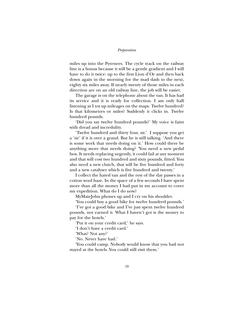miles up into the Pyrenees. The cycle track on the railway line is a bonus because it will be a gentle gradient and I will have to do it twice: up to the first Lion d'Or and then back down again in the morning for the mad dash to the next, eighty six miles away. If nearly twenty of those miles in each direction are on an old railway line, the job will be easier.

The garage is on the telephone about the van. It has had its service and it is ready for collection. I am only half listening as I tot up mileages on the maps. Twelve hundred? Is that kilometres or miles? Suddenly it clicks in. Twelve hundred pounds.

'Did you say twelve hundred pounds?' My voice is faint with dread and incredulity.

'Twelve hundred and thirty four, sir.' I suppose you get a 'sir' if it is over a grand. But he is still talking. 'And there is some work that needs doing on it.' How could there be anything more that needs doing? 'You need a new pedal box. It needs replacing urgently, it could fail at any moment and that will cost two hundred and sixty pounds, fitted. You also need a new clutch, that will be five hundred and forty and a new catalyser which is five hundred and twenty.'

I collect the hated van and the rest of the day passes in a cotton wool haze. In the space of a few seconds I have spent more than all the money I had put in my account to cover my expedition. What do I do now?

MyMateJohn phones up and I cry on his shoulder.

'You could buy a good bike for twelve hundred pounds.'

'I've got a good bike and I've just spent twelve hundred pounds, not earned it. What I haven't got is the money to pay for the hotels.'

'Put it on your credit card,' he says.

'I don't have a credit card.'

'What? Not any?'

'No. Never have had.'

'You could camp. Nobody would know that you had not stayed at the hotels. You could still visit them.'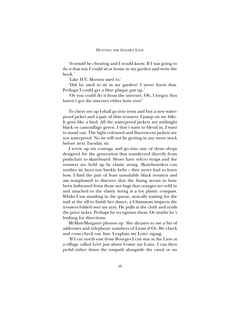'It would be cheating and I would know. If I was going to do it that way I could sit at home in my garden and write the book.'

'Like H.V. Morton used to.'

'Did he used to sit in my garden? I never knew that. Perhaps I could get a blue plaque put up.'

'Or you could do it from the internet. Oh, I forgot. You haven't got the internet either have you?'

To cheer me up I shall go into town and buy a new waterproof jacket and a pair of thin trousers. I jump on my bike. It goes like a bird. All the waterproof jackets are midnight black or camouflage green. I don't want to blend in, I want to stand out. The light coloured and fluorescent jackets are not waterproof. No we will not be getting in any more stock before next Tuesday, sir.

I screw up my courage and go into one of those shops designed for the generation that transferred directly from pushchair to skateboard. Shoes have velcro straps and the trousers are held up by elastic string. Skateboarders can neither tie laces nor buckle belts – they never had to learn how. I find the pair of least unsuitable black trousers and am nonplussed to discover that the lining seems to have been fashioned from those net bags that oranges are sold in and attached to the elastic string is a toy plastic compass. Whilst I am standing in the queue, stoically waiting for the waif at the till to finish her dance, a Chinaman inspects the trousers folded over my arm. He pulls at the cloth and reads the price ticket. Perhaps he recognises them. Or maybe he's looking for directions.

MyMateMargaret phones up. She dictates to me a list of addresses and telephone numbers of Lions d'Or. We check and cross check our lists. I explain my Loire zigzag.

'If I cut north east from Bourges I can stay at the Lion at a village called Léré just above Cosne sur Loire. I can then pedal either down the towpath alongside the canal or on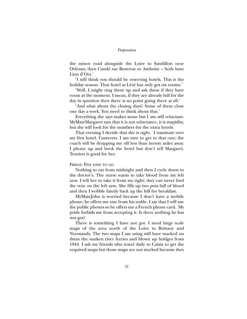the minor road alongside the Loire to Sandillon near Orleans; then Candé sur Beuvron or Amboise – both have Lion d'Ors.'

'I still think you should be reserving hotels. This is the holiday season. That hotel at Léré has only got six rooms.'

'Well, I might ring them up and ask them if they have room at the moment. I mean, if they are already full for the day in question then there is no point going there at all.'

'And what about the closing days? Some of them close one day a week. You need to think about that.'

Everything she says makes sense but I am still reluctant. MyMateMargaret says that it is not reluctance, it is stupidity, but she will look for the numbers for the extra hotels.

That evening I decide that she is right. I ruminate over my first hotel, Cauterets. I am sure to get to that one; the coach will be dropping me off less than twenty miles away. I phone up and book the hotel but don't tell Margaret. Tension is good for her.

## FRIDAY. FIVE DAYS TO GO

Nothing to eat from midnight and then I cycle down to the doctor's. The nurse wants to take blood from my left arm. I tell her to take it from my right; they can never find the vein on the left arm. She fills up two pots full of blood and then I wobble faintly back up the hill for breakfast.

MyMateJohn is worried because I don't have a mobile phone; he offers me one from his stable. I say that I will use the public phones so he offers me a French phone card. My pride forbids me from accepting it. Is there nothing he has not got?

There is something I have not got. I need large scale maps of the area north of the Loire in Brittany and Normandy. The two maps I am using still have marked on them the sunken river ferries and blown up bridges from 1944. I ask my friends who travel daily to Calais to get the required maps but those maps are not stocked because they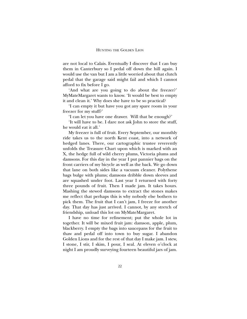are not local to Calais. Eventually I discover that I can buy them in Canterbury so I pedal off down the hill again. I would use the van but I am a little worried about that clutch pedal that the garage said might fail and which I cannot afford to fix before I go.

'And what are you going to do about the freezer?' MyMateMargaret wants to know. 'It would be best to empty it and clean it.' Why does she have to be so practical?

'I can empty it but have you got any spare room in your freezer for my stuff?'

'I can let you have one drawer. Will that be enough?'

'It will have to be. I dare not ask John to store the stuff, he would eat it all.'

My freezer is full of fruit. Every September, our monthly ride takes us to the north Kent coast, into a network of hedged lanes. There, our cartographic trustee reverently unfolds the Treasure Chart upon which is marked with an X, the hedge full of wild cherry plums, Victoria plums and damsons. For this day in the year I put pannier bags on the front carriers of my bicycle as well as the back. We go down that lane on both sides like a vacuum cleaner. Polythene bags bulge with plums; damsons dribble down sleeves and are squashed under foot. Last year I returned with forty three pounds of fruit. Then I made jam. It takes hours. Mashing the stewed damsons to extract the stones makes me reflect that perhaps this is why nobody else bothers to pick them. The fruit that I can't jam, I freeze for another day. That day has just arrived. I cannot, by any stretch of friendship, unload this lot on MyMateMargaret.

I have no time for refinement; put the whole lot in together. It will be mixed fruit jam: damson, apple, plum, blackberry. I empty the bags into saucepans for the fruit to thaw and pedal off into town to buy sugar. I abandon Golden Lions and for the rest of that day I make jam. I stew, I stone, I stir, I skim, I pour, I seal. At eleven o'clock at night I am proudly surveying fourteen beautiful jars of jam.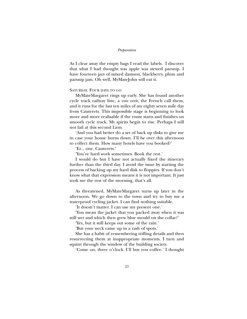As I clear away the empty bags I read the labels. I discover that what I had thought was apple was stewed parsnip. I have fourteen jars of mixed damson, blackberry, plum and parsnip jam. Oh well, MyMateJohn will eat it.

### SATURDAY. FOUR DAYS TO GO

MyMateMargaret rings up early. She has found another cycle track railway line, a *voie verte*, the French call them, and it runs for the last ten miles of my eighty seven mile day from Cauterets. This impossible stage is beginning to look more and more realisable if the route starts and finishes on smooth cycle track. My spirits begin to rise. Perhaps I will not fail at this second Lion.

'And you had better do a set of back up disks to give me in case your house burns down. I'll be over this afternoon to collect them. How many hotels have you booked?'

'Er... one. Cauterets.'

'You're hard work sometimes. Book the rest.'

I would do but I have not actually fixed the itinerary further than the third day. I avoid the issue by starting the process of backing up my hard disk to floppies. If you don't know what that expression means it is not important. It just took me the rest of the morning, that's all.

As threatened, MyMateMargaret turns up later in the afternoon. We go down to the town and try to buy me a waterproof cycling jacket. I can find nothing suitable.

'It doesn't matter. I can use my present one.'

'You mean the jacket that you packed away when it was still wet and which then grew blue mould on the collar?'

'Yes, but it still keeps out some of the rain.'

'But your neck came up in a rash of spots.'

She has a habit of remembering trifling details and then resurrecting them at inappropriate moments. I turn and squint through the window of the building society.

'Come on, three o'clock. I'll buy you coffee.' I thought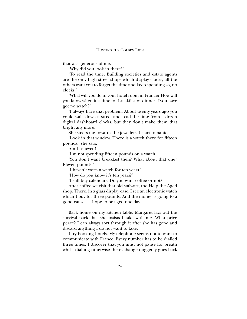that was generous of me.

'Why did you look in there?'

'To read the time. Building societies and estate agents are the only high street shops which display clocks; all the others want you to forget the time and keep spending so, no clocks.'

'What will you do in your hotel room in France? How will you know when it is time for breakfast or dinner if you have got no watch?'

'I always have that problem. About twenty years ago you could walk down a street and read the time from a dozen digital dashboard clocks, but they don't make them that bright any more.'

She steers me towards the jewellers. I start to panic.

'Look in that window. There is a watch there for fifteen pounds,' she says.

Am I relieved!

'I'm not spending fifteen pounds on a watch.'

'You don't want breakfast then? What about that one? Eleven pounds.'

'I haven't worn a watch for ten years.'

'How do you know it's ten years?'

'I still buy calendars. Do you want coffee or not?'

After coffee we visit that old stalwart, the Help the Aged shop. There, in a glass display case, I see an electronic watch which I buy for three pounds. And the money is going to a good cause – I hope to be aged one day.

Back home on my kitchen table, Margaret lays out the survival pack that she insists I take with me. What price peace? I can always sort through it after she has gone and discard anything I do not want to take.

I try booking hotels. My telephone seems not to want to communicate with France. Every number has to be dialled three times. I discover that you must not pause for breath whilst dialling otherwise the exchange doggedly goes back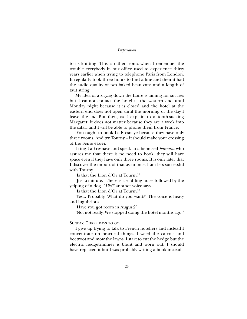to its knitting. This is rather ironic when I remember the trouble everybody in our office used to experience thirty years earlier when trying to telephone Paris from London. It regularly took three hours to find a line and then it had the audio quality of two baked bean cans and a length of taut string.

My idea of a zigzag down the Loire is aiming for success but I cannot contact the hotel at the western end until Monday night because it is closed and the hotel at the eastern end does not open until the morning of the day I leave the UK. But then, as I explain to a tooth-sucking Margaret; it does not matter because they are a week into the safari and I will be able to phone them from France.

'You ought to book La Fresnaye because they have only three rooms. And try Tourny – it should make your crossing of the Seine easier.'

I ring La Fresnaye and speak to a bemused *patronne* who assures me that there is no need to book, they will have space even if they have only three rooms. It is only later that I discover the import of that assurance. I am less successful with Tourny.

'Is that the Lion d'Or at Tourny?'

'Just a minute.' There is a scuffling noise followed by the yelping of a dog. *'Allo?'* another voice says.

'Is that the Lion d'Or at Tourny?'

'Yes... Probably. What do you want?' The voice is heavy and lugubrious.

'Have you got room in August?'

'No, not really. We stopped doing the hotel months ago.'

SUNDAY. THREE DAYS TO GO

I give up trying to talk to French hoteliers and instead I concentrate on practical things. I weed the carrots and beetroot and mow the lawns. I start to cut the hedge but the electric hedgetrimmer is blunt and worn out. I should have replaced it but I was probably writing a book instead.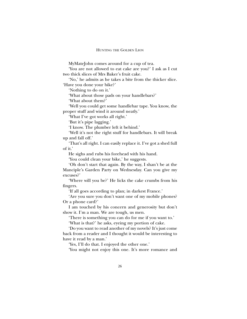MyMateJohn comes around for a cup of tea.

'You are not allowed to eat cake are you?' I ask as I cut two thick slices of Mrs Baker's fruit cake.

'No,' he admits as he takes a bite from the thicker slice. 'Have you done your bike?'

'Nothing to do on it.'

'What about those pads on your handlebars?'

'What about them?'

'Well you could get some handlebar tape. You know, the proper stuff and wind it around neatly.'

'What I've got works all right.'

'But it's pipe lagging.'

'I know. The plumber left it behind.'

'Well it's not the right stuff for handlebars. It will break up and fall off.'

'That's all right. I can easily replace it. I've got a shed full of it.'

He sighs and rubs his forehead with his hand.

'You could clean your bike,' he suggests.

'Oh don't start that again. By the way, I shan't be at the Manciple's Garden Party on Wednesday. Can you give my excuses?'

'Where will you be?' He licks the cake crumbs from his fingers.

'If all goes according to plan; in darkest France.'

'Are you sure you don't want one of my mobile phones? Or a phone card?'

I am touched by his concern and generosity but don't show it. I'm a man. We are tough, us men.

'There is something you can do for me if you want to.' 'What is that?' he asks, eyeing my portion of cake.

'Do you want to read another of my novels? It's just come back from a reader and I thought it would be interesting to have it read by a man.'

'Yes, I'll do that. I enjoyed the other one.'

'You might not enjoy this one. It's more romance and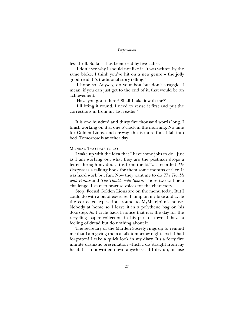less thrill. So far it has been read by five ladies.'

'I don't see why I should not like it. It was written by the same bloke. I think you've hit on a new genre – the jolly good read. It's traditional story telling.'

'I hope so. Anyway, do your best but don't struggle. I mean, if you can just get to the end of it, that would be an achievement.'

'Have you got it there? Shall I take it with me?'

'I'll bring it round. I need to revise it first and put the corrections in from my last reader.'

It is one hundred and thirty five thousand words long. I finish working on it at one o'clock in the morning. No time for Golden Lions, and anyway, this is more fun. I fall into bed. Tomorrow is another day.

# MONDAY. TWO DAYS TO GO

I wake up with the idea that I have some jobs to do. Just as I am working out what they are the postman drops a letter through my door. It is from the RNIB. I recorded *The Passport* as a talking book for them some months earlier. It was hard work but fun. Now they want me to do *The Trouble with France* and *The Trouble with Spain*. Those two will be a challenge. I start to practise voices for the characters.

Stop! Focus! Golden Lions are on the menu today. But I could do with a bit of exercise. I jump on my bike and cycle the corrected typescript around to MyMateJohn's house. Nobody at home so I leave it in a polythene bag on his doorstep. As I cycle back I notice that it is the day for the recycling paper collection in his part of town. I have a feeling of dread but do nothing about it.

The secretary of the Marden Society rings up to remind me that I am giving them a talk tomorrow night. As if I had forgotten! I take a quick look in my diary. It's a forty five minute dramatic presentation which I do straight from my head. It is not written down anywhere. If I dry up, or lose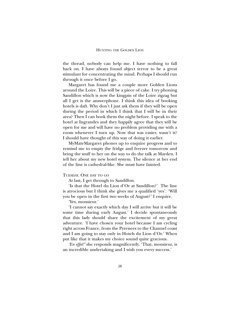the thread, nobody can help me. I have nothing to fall back on. I have always found abject terror to be a great stimulant for concentrating the mind. Perhaps I should run through it once before I go.

Margaret has found me a couple more Golden Lions around the Loire. This will be a piece of cake. I try phoning Sandillon which is now the kingpin of the Loire zigzag but all I get is the answerphone. I think this idea of booking hotels is daft. Why don't I just ask them if they will be open during the period in which I think that I will be in their area? Then I can book them the night before. I speak to the hotel at Ingrandes and they happily agree that they will be open for me and will have no problem providing me with a room whenever I turn up. Now that was easier, wasn't it? I should have thought of this way of doing it earlier.

MyMateMargaret phones up to enquire progress and to remind me to empty the fridge and freezer tomorrow and bring the stuff to her on the way to do the talk at Marden. I tell her about my new hotel system. The silence at her end of the line is cathedral-like. She must have fainted.

## TUESDAY. ONE DAY TO GO

At last, I get through to Sandillon.

'Is that the Hotel du Lion d'Or at Sandillon?' The line is atrocious but I think she gives me a qualified 'yes'. 'Will you be open in the first two weeks of August?' I enquire.

'Yes, monsieur.'

'I cannot say exactly which day I will arrive but it will be some time during early August.' I decide spontaneously that this lady should share the excitement of my great adventure. 'I have chosen your hotel because I am cycling right across France, from the Pyrenees to the Channel coast and I am going to stay only in Hotels du Lion d'Or.' When put like that it makes my choice sound quite gracious.

*'En effet!'* she responds magnificently. 'That, monsieur, is an incredible undertaking and I wish you every success.'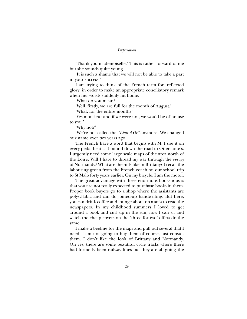'Thank you mademoiselle.' This is rather forward of me but she sounds quite young.

'It is such a shame that we will not be able to take a part in your success.'

I am trying to think of the French term for 'reflected glory' in order to make an appropriate conciliatory remark when her words suddenly hit home.

'What do you mean?'

'Well, firstly, we are full for the month of August.'

'What, for the entire month?'

'Yes monsieur and if we were not, we would be of no use to you.'

'Why not?'

'We're not called the *"Lion d'Or"* anymore. We changed our name over two years ago.'

The French have a word that begins with M. I use it on every pedal beat as I pound down the road to Otterstone's. I urgently need some large scale maps of the area north of the Loire. Will I have to thread my way through the *bocage* of Normandy? What are the hills like in Brittany? I recall the labouring groan from the French coach on our school trip to St Malo forty years earlier. On my bicycle, I am the motor.

The great advantage with these enormous bookshops is that you are not really expected to purchase books in them. Proper book buyers go to a shop where the assistants are polysyllabic and can do joined-up handwriting. But here, you can drink coffee and lounge about on a sofa to read the newspapers. In my childhood summers I loved to get around a book and curl up in the sun; now I can sit and watch the cheap covers on the 'three for two' offers do the same.

I make a beeline for the maps and pull out several that I need. I am not going to buy them of course, just consult them. I don't like the look of Brittany and Normandy. Oh yes, there are some beautiful cycle tracks where there had formerly been railway lines but they are all going the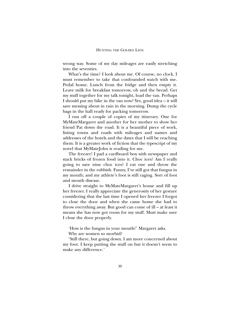wrong way. Some of my day mileages are easily stretching into the seventies.

What's the time? I look about me. Of course, no clock. I must remember to take that confounded watch with me. Pedal home. Lunch from the fridge and then empty it. Leave milk for breakfast tomorrow, oh and the bread. Get my stuff together for my talk tonight, load the van. Perhaps I should put my bike in the van now? Yes, good idea – it will save messing about in rain in the morning. Dump the cycle bags in the hall ready for packing tomorrow.

I run off a couple of copies of my itinerary. One for MyMateMargaret and another for her mother to show her friend Pat down the road. It is a beautiful piece of work, listing towns and roads with mileages and names and addresses of the hotels and the dates that I will be reaching them. It is a greater work of fiction that the typescript of my novel that MyMateJohn is reading for me.

The freezer! I pad a cardboard box with newspaper and stack bricks of frozen food into it. Choc ices? Am I really going to save nine choc ices? I eat one and throw the remainder in the rubbish. Funny, I've still got that fungus in my mouth; and my athlete's foot is still raging. Sort of foot and mouth disease.

I drive straight to MyMateMargaret's house and fill up her freezer. I really appreciate the generosity of her gesture considering that the last time I opened her freezer I forgot to close the door and when she came home she had to throw everything away. But good can come of ill – at least it means she has now got room for my stuff. Must make sure I close the door properly.

'How is the fungus in your mouth?' Margaret asks.

Why are women so morbid?

'Still there, but going down. I am more concerned about my foot. I keep putting the stuff on but it doesn't seem to make any difference.'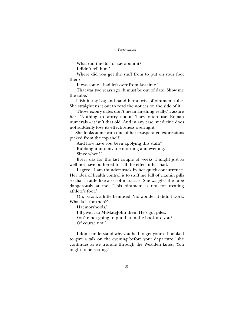'What did the doctor say about it?'

'I didn't tell him.'

'Where did you get the stuff from to put on your foot then?'

'It was some I had left over from last time.'

'That was two years ago. It must be out of date. Show me the tube.'

I fish in my bag and hand her a twist of ointment tube. She straightens it out to read the notices on the side of it.

'Those expiry dates don't mean anything really,' I assure her. 'Nothing to worry about. They often use Roman numerals – it isn't that old. And in any case, medicine does not suddenly lose its effectiveness overnight.'

She looks at me with one of her exasperated expressions picked from the top shelf.

'And how have you been applying this stuff?'

'Rubbing it into my toe morning and evening.'

'Since when?'

'Every day for the last couple of weeks. I might just as well not have bothered for all the effect it has had.'

'I agree.' I am thunderstruck by her quick concurrence. Her idea of health control is to stuff me full of vitamin pills so that I rattle like a set of maraccas. She waggles the tube dangerously at me. 'This ointment is not for treating athlete's foot.'

'Oh,' says I, a little bemused, 'no wonder it didn't work. What is it for then?'

'Haemorrhoids.'

'I'll give it to MyMateJohn then. He's got piles.'

'You're not going to put that in the book are you?' 'Of course not.'

'I don't understand why you had to get yourself booked to give a talk on the evening before your departure,' she continues as we trundle through the Wealden lanes. 'You ought to be resting.'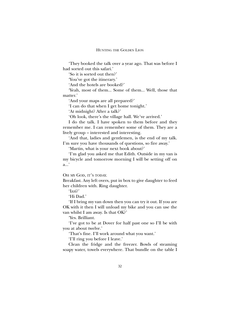'They booked the talk over a year ago. That was before I had sorted out this safari.'

'So it is sorted out then?'

'You've got the itinerary.'

'And the hotels are booked?'

'Yeah, most of them... Some of them... Well, those that matter.'

'And your maps are all prepared?'

'I can do that when I get home tonight.'

'At midnight? After a talk?'

'Oh look, there's the village hall. We've arrived.'

I do the talk. I have spoken to them before and they remember me. I can remember some of them. They are a lively group – interested and interesting.

'And that, ladies and gentlemen, is the end of my talk. I'm sure you have thousands of questions, so fire away.'

'Martin, what is your next book about?'

'I'm glad you asked me that Edith. Outside in my van is my bicycle and tomorrow morning I will be setting off on a...'

OH MY GOD, IT'S TODAY.

Breakfast. Any left overs, put in box to give daughter to feed her children with. Ring daughter.

'Izzi?'

'Hi Dad.'

'If I bring my van down then you can try it out. If you are OK with it then I will unload my bike and you can use the van whilst I am away. Is that OK?'

'Yes. Brilliant.

'I've got to be at Dover for half past one so I'll be with you at about twelve.'

'That's fine. I'll work around what you want.'

'I'll ring you before I leave.'

Clean the fridge and the freezer. Bowls of steaming soapy water, towels everywhere. That bundle on the table I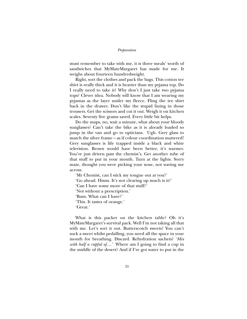must remember to take with me, it is three meals' worth of sandwiches that MyMateMargaret has made for me. It weighs about fourteen hundredweight.

Right, sort the clothes and pack the bags. This cotton tee shirt is really thick and it is heavier than my pyjama top. Do I really need to take it? Why don't I just take two pyjama tops? Clever idea. Nobody will know that I am wearing my pyjamas as the layer under my fleece. Fling the tee shirt back in the drawer. Don't like the stupid lining in those trousers. Get the scissors and cut it out. Weigh it on kitchen scales. Seventy five grams saved. Every little bit helps.

Do the maps, no, wait a minute, what about your bloody sunglasses? Can't take the bike as it is already loaded so jump in the van and go to opticians. Ugh. Grey glass to match the silver frame – as if colour coordination mattered! Grey sunglasses is life trapped inside a black and white television. Brown would have been better, it's warmer. You've just driven past the chemist's. Get another tube of that stuff to put in your mouth. Turn at the lights. Sorry mate, thought you were picking your nose, not waving me across.

'Mr Chemist, can I stick my tongue out at you?' 'Go ahead. Hmm. It's not clearing up much is it?' 'Can I have some more of that stuff?' 'Not without a prescription.' 'Bum. What can I have?' 'This. It tastes of orange.' 'Great.'

What is this packet on the kitchen table? Oh it's MyMateMargaret's survival pack. Well I'm not taking all that with me. Let's sort it out. Butterscotch sweets? You can't suck a sweet whilst pedalling, you need all the space in your mouth for breathing. Discard. Rehydration sachets? *'Mix with half a cupful of....'* Where am I going to find a cup in the middle of the desert? And if I've got water to put in the